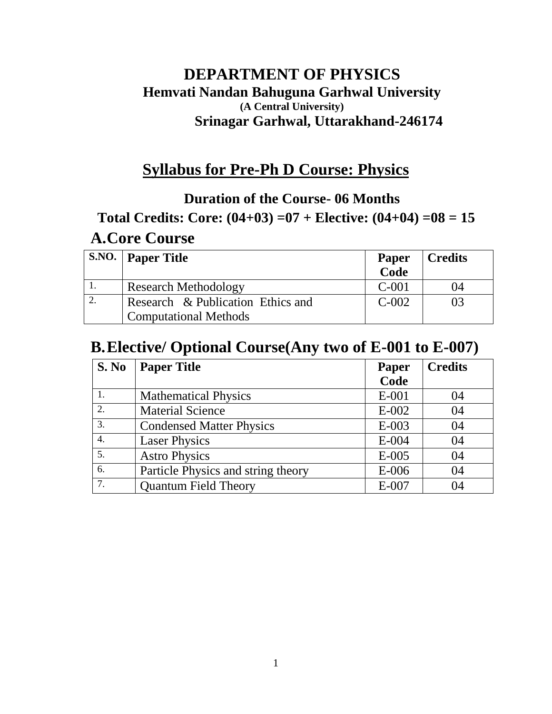# **DEPARTMENT OF PHYSICS Hemvati Nandan Bahuguna Garhwal University (A Central University) Srinagar Garhwal, Uttarakhand-246174**

# **Syllabus for Pre-Ph D Course: Physics**

# **Duration of the Course- 06 Months**

# **Total Credits: Core: (04+03) =07 + Elective: (04+04) =08 = 15**

# **A.Core Course**

| <b>S.NO.</b> Paper Title          | <b>Paper</b><br>Code | Credits |
|-----------------------------------|----------------------|---------|
| <b>Research Methodology</b>       | $C-001$              | 04      |
| Research & Publication Ethics and | $C-002$              | 03      |
| <b>Computational Methods</b>      |                      |         |

# **B.Elective/ Optional Course(Any two of E-001 to E-007)**

| S. No            | <b>Paper Title</b>                 | Paper   | <b>Credits</b> |
|------------------|------------------------------------|---------|----------------|
|                  |                                    | Code    |                |
|                  | <b>Mathematical Physics</b>        | $E-001$ | 04             |
| 2.               | <b>Material Science</b>            | $E-002$ | 04             |
| 3.               | <b>Condensed Matter Physics</b>    | $E-003$ | 04             |
| $\overline{4}$ . | <b>Laser Physics</b>               | $E-004$ | 04             |
| 5.               | <b>Astro Physics</b>               | $E-005$ | 04             |
| 6.               | Particle Physics and string theory | $E-006$ | 04             |
| 7.               | <b>Quantum Field Theory</b>        | $E-007$ | 04             |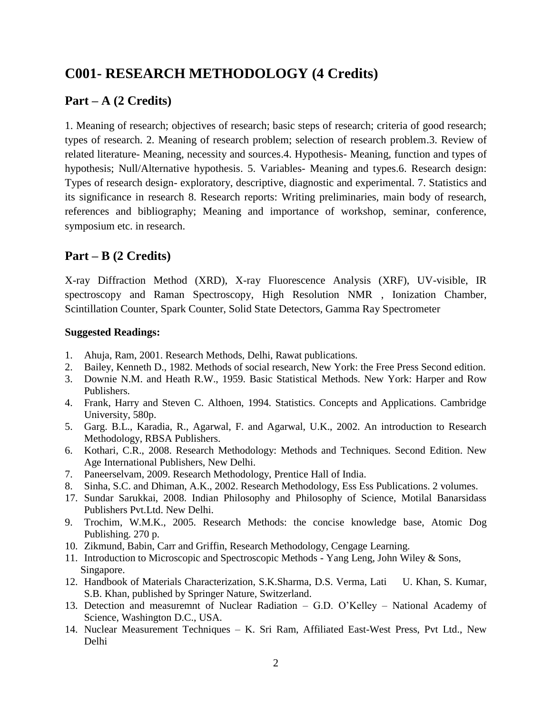# **C001- RESEARCH METHODOLOGY (4 Credits)**

# **Part – A (2 Credits)**

1. Meaning of research; objectives of research; basic steps of research; criteria of good research; types of research. 2. Meaning of research problem; selection of research problem.3. Review of related literature- Meaning, necessity and sources.4. Hypothesis- Meaning, function and types of hypothesis; Null/Alternative hypothesis. 5. Variables- Meaning and types.6. Research design: Types of research design- exploratory, descriptive, diagnostic and experimental. 7. Statistics and its significance in research 8. Research reports: Writing preliminaries, main body of research, references and bibliography; Meaning and importance of workshop, seminar, conference, symposium etc. in research.

## **Part – B (2 Credits)**

X-ray Diffraction Method (XRD), X-ray Fluorescence Analysis (XRF), UV-visible, IR spectroscopy and Raman Spectroscopy, High Resolution NMR , Ionization Chamber, Scintillation Counter, Spark Counter, Solid State Detectors, Gamma Ray Spectrometer

- 1. Ahuja, Ram, 2001. Research Methods, Delhi, Rawat publications.
- 2. Bailey, Kenneth D., 1982. Methods of social research, New York: the Free Press Second edition.
- 3. Downie N.M. and Heath R.W., 1959. Basic Statistical Methods. New York: Harper and Row Publishers.
- 4. Frank, Harry and Steven C. Althoen, 1994. Statistics. Concepts and Applications. Cambridge University, 580p.
- 5. Garg. B.L., Karadia, R., Agarwal, F. and Agarwal, U.K., 2002. An introduction to Research Methodology, RBSA Publishers.
- 6. Kothari, C.R., 2008. Research Methodology: Methods and Techniques. Second Edition. New Age International Publishers, New Delhi.
- 7. Paneerselvam, 2009. Research Methodology, Prentice Hall of India.
- 8. Sinha, S.C. and Dhiman, A.K., 2002. Research Methodology, Ess Ess Publications. 2 volumes.
- 17. Sundar Sarukkai, 2008. Indian Philosophy and Philosophy of Science, Motilal Banarsidass Publishers Pvt.Ltd. New Delhi.
- 9. Trochim, W.M.K., 2005. Research Methods: the concise knowledge base, Atomic Dog Publishing. 270 p.
- 10. Zikmund, Babin, Carr and Griffin, Research Methodology, Cengage Learning.
- 11. Introduction to Microscopic and Spectroscopic Methods Yang Leng, John Wiley & Sons, Singapore.
- 12. Handbook of Materials Characterization, S.K.Sharma, D.S. Verma, Lati U. Khan, S. Kumar, S.B. Khan, published by Springer Nature, Switzerland.
- 13. Detection and measuremnt of Nuclear Radiation G.D. O'Kelley National Academy of Science, Washington D.C., USA.
- 14. Nuclear Measurement Techniques K. Sri Ram, Affiliated East-West Press, Pvt Ltd., New Delhi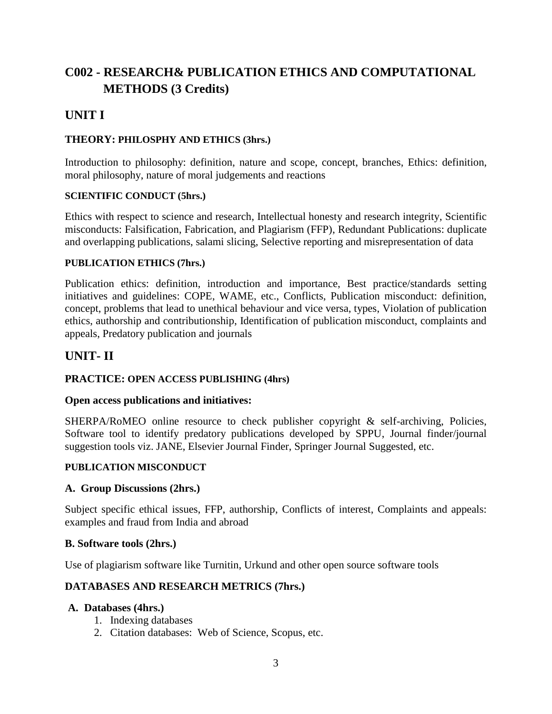# **C002 - RESEARCH& PUBLICATION ETHICS AND COMPUTATIONAL METHODS (3 Credits)**

# **UNIT I**

### **THEORY: PHILOSPHY AND ETHICS (3hrs.)**

Introduction to philosophy: definition, nature and scope, concept, branches, Ethics: definition, moral philosophy, nature of moral judgements and reactions

#### **SCIENTIFIC CONDUCT (5hrs.)**

Ethics with respect to science and research, Intellectual honesty and research integrity, Scientific misconducts: Falsification, Fabrication, and Plagiarism (FFP), Redundant Publications: duplicate and overlapping publications, salami slicing, Selective reporting and misrepresentation of data

### **PUBLICATION ETHICS (7hrs.)**

Publication ethics: definition, introduction and importance, Best practice/standards setting initiatives and guidelines: COPE, WAME, etc., Conflicts, Publication misconduct: definition, concept, problems that lead to unethical behaviour and vice versa, types, Violation of publication ethics, authorship and contributionship, Identification of publication misconduct, complaints and appeals, Predatory publication and journals

## **UNIT- II**

### **PRACTICE: OPEN ACCESS PUBLISHING (4hrs)**

#### **Open access publications and initiatives:**

SHERPA/RoMEO online resource to check publisher copyright & self-archiving, Policies, Software tool to identify predatory publications developed by SPPU, Journal finder/journal suggestion tools viz. JANE, Elsevier Journal Finder, Springer Journal Suggested, etc.

#### **PUBLICATION MISCONDUCT**

#### **A. Group Discussions (2hrs.)**

Subject specific ethical issues, FFP, authorship, Conflicts of interest, Complaints and appeals: examples and fraud from India and abroad

#### **B. Software tools (2hrs.)**

Use of plagiarism software like Turnitin, Urkund and other open source software tools

### **DATABASES AND RESEARCH METRICS (7hrs.)**

#### **A. Databases (4hrs.)**

- 1. Indexing databases
- 2. Citation databases: Web of Science, Scopus, etc.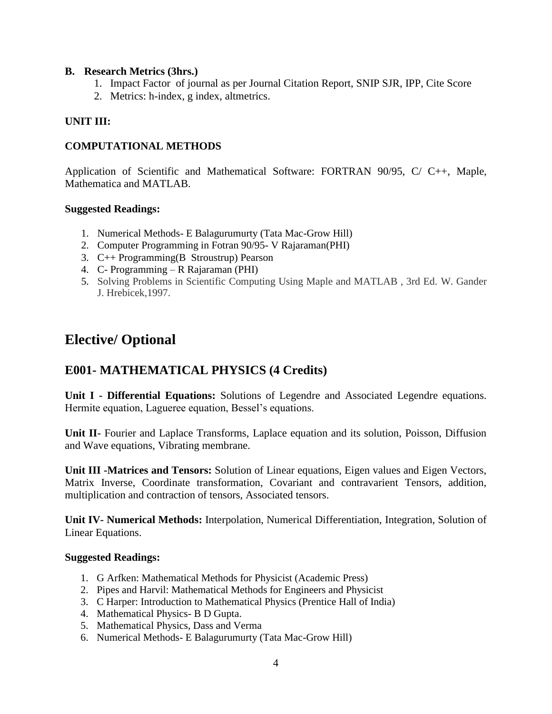#### **B. Research Metrics (3hrs.)**

- 1. Impact Factor of journal as per Journal Citation Report, SNIP SJR, IPP, Cite Score
- 2. Metrics: h-index, g index, altmetrics.

### **UNIT III:**

### **COMPUTATIONAL METHODS**

Application of Scientific and Mathematical Software: FORTRAN 90/95, C/ C++, Maple, Mathematica and MATLAB.

#### **Suggested Readings:**

- 1. Numerical Methods- E Balagurumurty (Tata Mac-Grow Hill)
- 2. Computer Programming in Fotran 90/95- V Rajaraman(PHI)
- 3. C++ Programming(B Stroustrup) Pearson
- 4. C- Programming R Rajaraman (PHI)
- 5. Solving Problems in Scientific Computing Using Maple and MATLAB , 3rd Ed. W. Gander J. Hrebicek,1997.

# **Elective/ Optional**

## **E001- MATHEMATICAL PHYSICS (4 Credits)**

**Unit I - Differential Equations:** Solutions of Legendre and Associated Legendre equations. Hermite equation, Lagueree equation, Bessel's equations.

**Unit II-** Fourier and Laplace Transforms, Laplace equation and its solution, Poisson, Diffusion and Wave equations, Vibrating membrane.

**Unit III -Matrices and Tensors:** Solution of Linear equations, Eigen values and Eigen Vectors, Matrix Inverse, Coordinate transformation, Covariant and contravarient Tensors, addition, multiplication and contraction of tensors, Associated tensors.

**Unit IV- Numerical Methods:** Interpolation, Numerical Differentiation, Integration, Solution of Linear Equations.

- 1. G Arfken: Mathematical Methods for Physicist (Academic Press)
- 2. Pipes and Harvil: Mathematical Methods for Engineers and Physicist
- 3. C Harper: Introduction to Mathematical Physics (Prentice Hall of India)
- 4. Mathematical Physics- B D Gupta.
- 5. Mathematical Physics, Dass and Verma
- 6. Numerical Methods- E Balagurumurty (Tata Mac-Grow Hill)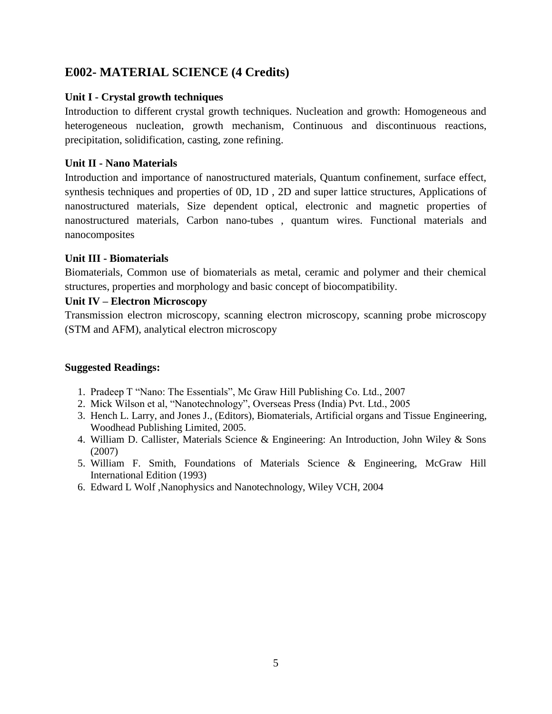# **E002- MATERIAL SCIENCE (4 Credits)**

### **Unit I - Crystal growth techniques**

Introduction to different crystal growth techniques. Nucleation and growth: Homogeneous and heterogeneous nucleation, growth mechanism, Continuous and discontinuous reactions, precipitation, solidification, casting, zone refining.

### **Unit II - Nano Materials**

Introduction and importance of nanostructured materials, Quantum confinement, surface effect, synthesis techniques and properties of 0D, 1D , 2D and super lattice structures, Applications of nanostructured materials, Size dependent optical, electronic and magnetic properties of nanostructured materials, Carbon nano-tubes , quantum wires. Functional materials and nanocomposites

## **Unit III - Biomaterials**

Biomaterials, Common use of biomaterials as metal, ceramic and polymer and their chemical structures, properties and morphology and basic concept of biocompatibility.

## **Unit IV – Electron Microscopy**

Transmission electron microscopy, scanning electron microscopy, scanning probe microscopy (STM and AFM), analytical electron microscopy

- 1. Pradeep T "Nano: The Essentials", Mc Graw Hill Publishing Co. Ltd., 2007
- 2. Mick Wilson et al, "Nanotechnology", Overseas Press (India) Pvt. Ltd., 2005
- 3. Hench L. Larry, and Jones J., (Editors), Biomaterials, Artificial organs and Tissue Engineering, Woodhead Publishing Limited, 2005.
- 4. William D. Callister, Materials Science & Engineering: An Introduction, John Wiley & Sons (2007)
- 5. William F. Smith, Foundations of Materials Science & Engineering, McGraw Hill International Edition (1993)
- 6. Edward L Wolf ,Nanophysics and Nanotechnology, Wiley VCH, 2004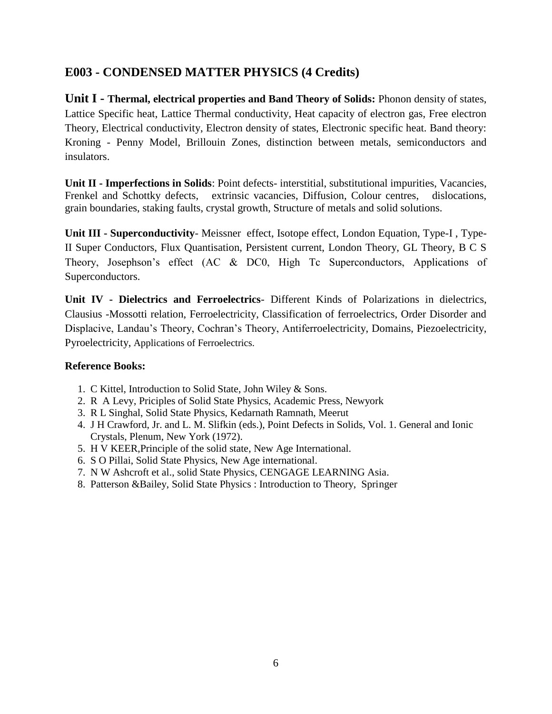# **E003 - CONDENSED MATTER PHYSICS (4 Credits)**

**Unit I - Thermal, electrical properties and Band Theory of Solids:** Phonon density of states, Lattice Specific heat, Lattice Thermal conductivity, Heat capacity of electron gas, Free electron Theory, Electrical conductivity, Electron density of states, Electronic specific heat. Band theory: Kroning - Penny Model, Brillouin Zones, distinction between metals, semiconductors and insulators.

**Unit II - Imperfections in Solids**: Point defects- interstitial, substitutional impurities, Vacancies, Frenkel and Schottky defects, extrinsic vacancies, Diffusion, Colour centres, dislocations, grain boundaries, staking faults, crystal growth, Structure of metals and solid solutions.

**Unit III - Superconductivity**- Meissner effect, Isotope effect, London Equation, Type-I , Type-II Super Conductors, Flux Quantisation, Persistent current, London Theory, GL Theory, B C S Theory, Josephson's effect (AC & DC0, High Tc Superconductors, Applications of Superconductors.

**Unit IV - Dielectrics and Ferroelectrics**- Different Kinds of Polarizations in dielectrics, Clausius -Mossotti relation, Ferroelectricity, Classification of ferroelectrics, Order Disorder and Displacive, Landau's Theory, Cochran's Theory, Antiferroelectricity, Domains, Piezoelectricity, Pyroelectricity, Applications of Ferroelectrics.

### **Reference Books:**

- 1. C Kittel, Introduction to Solid State, John Wiley & Sons.
- 2. R A Levy, Priciples of Solid State Physics, Academic Press, Newyork
- 3. R L Singhal, Solid State Physics, Kedarnath Ramnath, Meerut
- 4. J H Crawford, Jr. and L. M. Slifkin (eds.), Point Defects in Solids, Vol. 1. General and Ionic Crystals, Plenum, New York (1972).
- 5. H V KEER,Principle of the solid state, New Age International.
- 6. S O Pillai, Solid State Physics, New Age international.
- 7. N W Ashcroft et al., solid State Physics, CENGAGE LEARNING Asia.
- 8. Patterson &Bailey, Solid State Physics : Introduction to Theory, Springer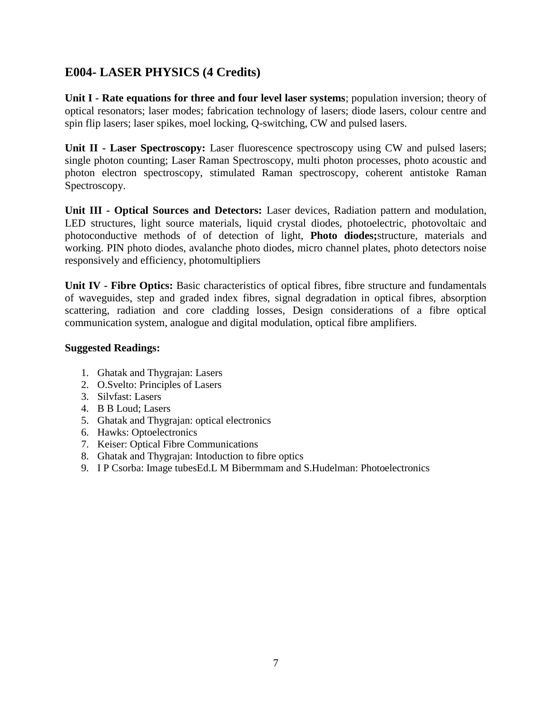# **E004- LASER PHYSICS (4 Credits)**

**Unit I - Rate equations for three and four level laser systems**; population inversion; theory of optical resonators; laser modes; fabrication technology of lasers; diode lasers, colour centre and spin flip lasers; laser spikes, moel locking, Q-switching, CW and pulsed lasers.

**Unit II - Laser Spectroscopy:** Laser fluorescence spectroscopy using CW and pulsed lasers; single photon counting; Laser Raman Spectroscopy, multi photon processes, photo acoustic and photon electron spectroscopy, stimulated Raman spectroscopy, coherent antistoke Raman Spectroscopy.

**Unit III - Optical Sources and Detectors:** Laser devices, Radiation pattern and modulation, LED structures, light source materials, liquid crystal diodes, photoelectric, photovoltaic and photoconductive methods of of detection of light, **Photo diodes;**structure, materials and working. PIN photo diodes, avalanche photo diodes, micro channel plates, photo detectors noise responsively and efficiency, photomultipliers

**Unit IV - Fibre Optics:** Basic characteristics of optical fibres, fibre structure and fundamentals of waveguides, step and graded index fibres, signal degradation in optical fibres, absorption scattering, radiation and core cladding losses, Design considerations of a fibre optical communication system, analogue and digital modulation, optical fibre amplifiers.

- 1. Ghatak and Thygrajan: Lasers
- 2. O.Svelto: Principles of Lasers
- 3. Silvfast: Lasers
- 4. B B Loud; Lasers
- 5. Ghatak and Thygrajan: optical electronics
- 6. Hawks: Optoelectronics
- 7. Keiser: Optical Fibre Communications
- 8. Ghatak and Thygrajan: Intoduction to fibre optics
- 9. I P Csorba: Image tubesEd.L M Bibermmam and S.Hudelman: Photoelectronics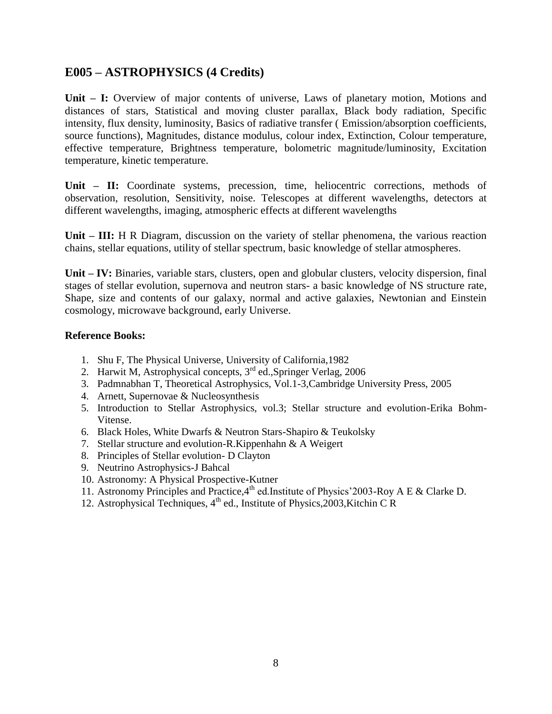## **E005 – ASTROPHYSICS (4 Credits)**

**Unit – I:** Overview of major contents of universe, Laws of planetary motion, Motions and distances of stars, Statistical and moving cluster parallax, Black body radiation, Specific intensity, flux density, luminosity, Basics of radiative transfer ( Emission/absorption coefficients, source functions), Magnitudes, distance modulus, colour index, Extinction, Colour temperature, effective temperature, Brightness temperature, bolometric magnitude/luminosity, Excitation temperature, kinetic temperature.

**Unit – II:** Coordinate systems, precession, time, heliocentric corrections, methods of observation, resolution, Sensitivity, noise. Telescopes at different wavelengths, detectors at different wavelengths, imaging, atmospheric effects at different wavelengths

**Unit – III:** H R Diagram, discussion on the variety of stellar phenomena, the various reaction chains, stellar equations, utility of stellar spectrum, basic knowledge of stellar atmospheres.

**Unit – IV:** Binaries, variable stars, clusters, open and globular clusters, velocity dispersion, final stages of stellar evolution, supernova and neutron stars- a basic knowledge of NS structure rate, Shape, size and contents of our galaxy, normal and active galaxies, Newtonian and Einstein cosmology, microwave background, early Universe.

#### **Reference Books:**

- 1. Shu F, The Physical Universe, University of California,1982
- 2. Harwit M, Astrophysical concepts, 3<sup>rd</sup> ed., Springer Verlag, 2006
- 3. Padmnabhan T, Theoretical Astrophysics, Vol.1-3,Cambridge University Press, 2005
- 4. Arnett, Supernovae & Nucleosynthesis
- 5. Introduction to Stellar Astrophysics, vol.3; Stellar structure and evolution-Erika Bohm-Vitense.
- 6. Black Holes, White Dwarfs & Neutron Stars-Shapiro & Teukolsky
- 7. Stellar structure and evolution-R.Kippenhahn & A Weigert
- 8. Principles of Stellar evolution- D Clayton
- 9. Neutrino Astrophysics-J Bahcal
- 10. Astronomy: A Physical Prospective-Kutner
- 11. Astronomy Principles and Practice,  $4^{\text{th}}$  ed. Institute of Physics' 2003-Roy A E & Clarke D.
- 12. Astrophysical Techniques,  $4<sup>th</sup>$  ed., Institute of Physics, 2003, Kitchin C R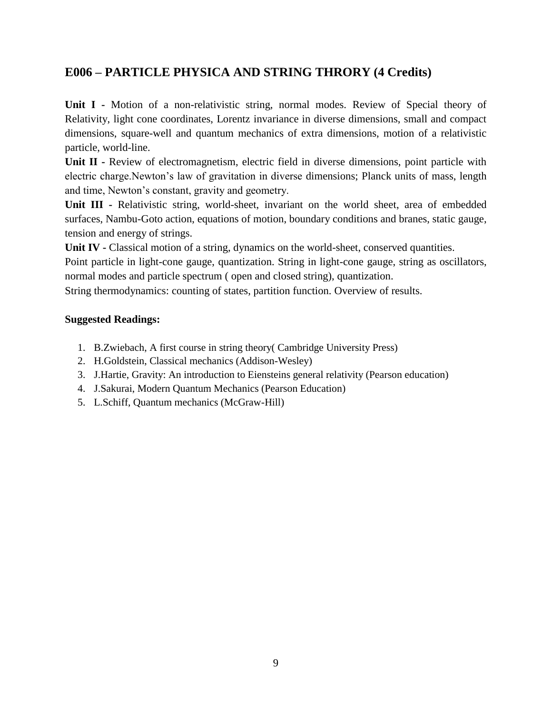# **E006 – PARTICLE PHYSICA AND STRING THRORY (4 Credits)**

**Unit I -** Motion of a non-relativistic string, normal modes. Review of Special theory of Relativity, light cone coordinates, Lorentz invariance in diverse dimensions, small and compact dimensions, square-well and quantum mechanics of extra dimensions, motion of a relativistic particle, world-line.

**Unit II -** Review of electromagnetism, electric field in diverse dimensions, point particle with electric charge.Newton's law of gravitation in diverse dimensions; Planck units of mass, length and time, Newton's constant, gravity and geometry.

**Unit III -** Relativistic string, world-sheet, invariant on the world sheet, area of embedded surfaces, Nambu-Goto action, equations of motion, boundary conditions and branes, static gauge, tension and energy of strings.

**Unit IV -** Classical motion of a string, dynamics on the world-sheet, conserved quantities.

Point particle in light-cone gauge, quantization. String in light-cone gauge, string as oscillators, normal modes and particle spectrum ( open and closed string), quantization.

String thermodynamics: counting of states, partition function. Overview of results.

- 1. B.Zwiebach, A first course in string theory( Cambridge University Press)
- 2. H.Goldstein, Classical mechanics (Addison-Wesley)
- 3. J.Hartie, Gravity: An introduction to Eiensteins general relativity (Pearson education)
- 4. J.Sakurai, Modern Quantum Mechanics (Pearson Education)
- 5. L.Schiff, Quantum mechanics (McGraw-Hill)